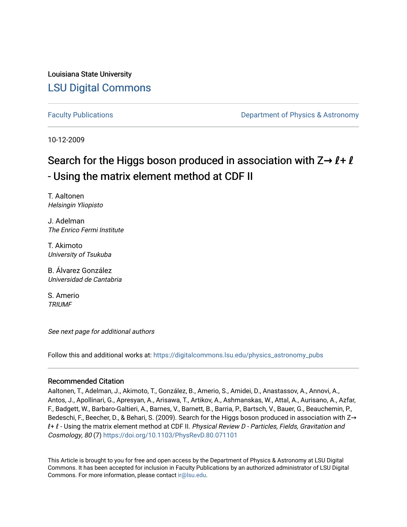Louisiana State University [LSU Digital Commons](https://digitalcommons.lsu.edu/)

[Faculty Publications](https://digitalcommons.lsu.edu/physics_astronomy_pubs) **Example 2** Constant Department of Physics & Astronomy

10-12-2009

# Search for the Higgs boson produced in association with Z→  $\ell$ +  $\ell$ - Using the matrix element method at CDF II

T. Aaltonen Helsingin Yliopisto

J. Adelman The Enrico Fermi Institute

T. Akimoto University of Tsukuba

B. Álvarez González Universidad de Cantabria

S. Amerio **TRIUMF** 

See next page for additional authors

Follow this and additional works at: [https://digitalcommons.lsu.edu/physics\\_astronomy\\_pubs](https://digitalcommons.lsu.edu/physics_astronomy_pubs?utm_source=digitalcommons.lsu.edu%2Fphysics_astronomy_pubs%2F2427&utm_medium=PDF&utm_campaign=PDFCoverPages) 

## Recommended Citation

Aaltonen, T., Adelman, J., Akimoto, T., González, B., Amerio, S., Amidei, D., Anastassov, A., Annovi, A., Antos, J., Apollinari, G., Apresyan, A., Arisawa, T., Artikov, A., Ashmanskas, W., Attal, A., Aurisano, A., Azfar, F., Badgett, W., Barbaro-Galtieri, A., Barnes, V., Barnett, B., Barria, P., Bartsch, V., Bauer, G., Beauchemin, P., Bedeschi, F., Beecher, D., & Behari, S. (2009). Search for the Higgs boson produced in association with Z→ *l* + *l* - Using the matrix element method at CDF II. *Physical Review D - Particles, Fields, Gravitation and* Cosmology, 80 (7)<https://doi.org/10.1103/PhysRevD.80.071101>

This Article is brought to you for free and open access by the Department of Physics & Astronomy at LSU Digital Commons. It has been accepted for inclusion in Faculty Publications by an authorized administrator of LSU Digital Commons. For more information, please contact [ir@lsu.edu](mailto:ir@lsu.edu).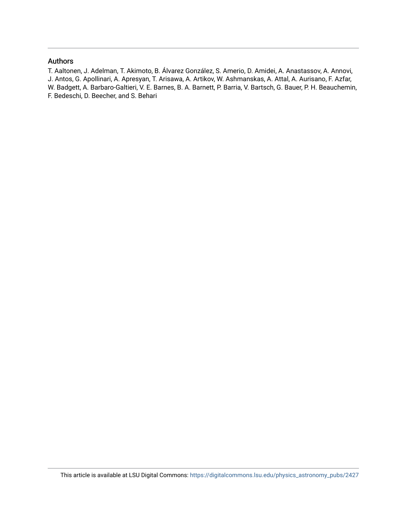### Authors

T. Aaltonen, J. Adelman, T. Akimoto, B. Álvarez González, S. Amerio, D. Amidei, A. Anastassov, A. Annovi, J. Antos, G. Apollinari, A. Apresyan, T. Arisawa, A. Artikov, W. Ashmanskas, A. Attal, A. Aurisano, F. Azfar, W. Badgett, A. Barbaro-Galtieri, V. E. Barnes, B. A. Barnett, P. Barria, V. Bartsch, G. Bauer, P. H. Beauchemin, F. Bedeschi, D. Beecher, and S. Behari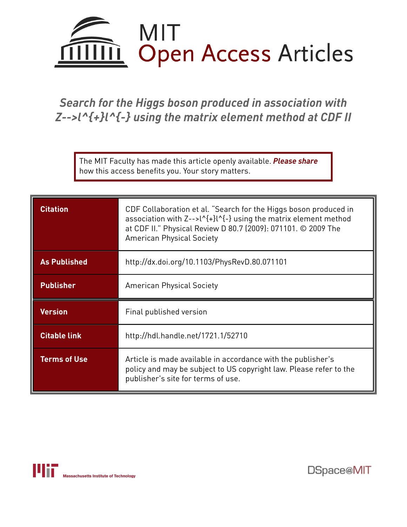

*Search for the Higgs boson produced in association with Z-->l^{+}l^{-} using the matrix element method at CDF II*

The MIT Faculty has made this article openly available. *[Please](https://libraries.mit.edu/forms/dspace-oa-articles.html) share* how this access benefits you. Your story matters.

| <b>Citation</b>     | CDF Collaboration et al. "Search for the Higgs boson produced in<br>association with Z-->l^{+}l^{-} using the matrix element method<br>at CDF II." Physical Review D 80.7 (2009): 071101. © 2009 The<br><b>American Physical Society</b> |  |  |
|---------------------|------------------------------------------------------------------------------------------------------------------------------------------------------------------------------------------------------------------------------------------|--|--|
| <b>As Published</b> | http://dx.doi.org/10.1103/PhysRevD.80.071101                                                                                                                                                                                             |  |  |
| <b>Publisher</b>    | <b>American Physical Society</b>                                                                                                                                                                                                         |  |  |
| <b>Version</b>      | Final published version                                                                                                                                                                                                                  |  |  |
| <b>Citable link</b> | http://hdl.handle.net/1721.1/52710                                                                                                                                                                                                       |  |  |
| <b>Terms of Use</b> | Article is made available in accordance with the publisher's<br>policy and may be subject to US copyright law. Please refer to the<br>publisher's site for terms of use.                                                                 |  |  |

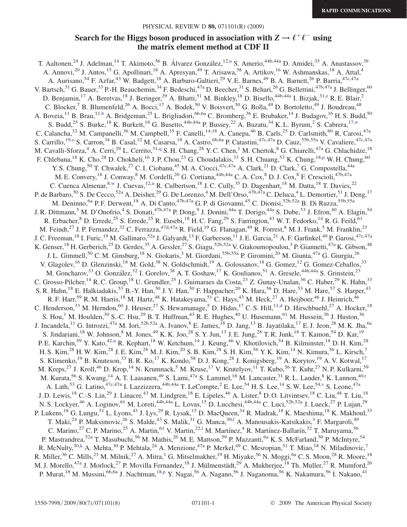# Search for the Higgs boson produced in association with  $Z \rightarrow \ell^+ \ell^-$  using the matrix element method at CDF II

<span id="page-3-12"></span><span id="page-3-11"></span><span id="page-3-10"></span><span id="page-3-9"></span><span id="page-3-8"></span><span id="page-3-7"></span><span id="page-3-6"></span><span id="page-3-5"></span><span id="page-3-4"></span><span id="page-3-3"></span><span id="page-3-2"></span><span id="page-3-1"></span><span id="page-3-0"></span>T. Aaltonen,<s[u](#page-5-0)p>24</sup> J. Adelman,<sup>14</sup> T. Akimoto,<sup>56</sup> B. Álvarez González,<sup>12,u</sup> S. Amerio,<sup>44b,44a</sup> D. Amidei,<sup>35</sup> A. Anastassov,<sup>39</sup> A. Annovi,<sup>20</sup> J. Antos,<sup>15</sup> G. Apollinari,<sup>18</sup> A. Apresyan,<sup>49</sup> T. Arisawa,<sup>58</sup> A. Artikov,<sup>16</sup> W. Ashmanskas,<sup>18</sup> A. Attal,<sup>4</sup> A. Aurisano,<sup>54</sup> F. Azfar,<sup>43</sup> W. Badgett,<sup>18</sup> A. Barbaro-Galtieri,<sup>29</sup> V. E. Barnes,<sup>49</sup> B. A. Barnett,<sup>26</sup> P. Barria,<sup>47c,47a</sup> V. Bartsch, $^{31}$  G. Bauer, $^{33}$  P.-H. Beauchemin, $^{34}$  F. Bedeschi, $^{47a}$  D. Beecher, $^{31}$  S. Behari, $^{26}$  G. Bellettini, $^{47b,47a}$  J. Bellinger, $^{60}$ D. Benjamin,<sup>17</sup> A. Beretvas,<sup>18</sup> J. Beringer,<sup>29</sup> A. Bhatti,<sup>51</sup> M. Binkley,<sup>18</sup> D. Bisello,<sup>44b,44a</sup> I. Bizjak,<sup>31[,z](#page-5-1)</sup> R. E. Blair,<sup>2</sup> C. Blocker,  $^7$  B. Blumenfeld,  $^{26}$  A. Bocci,  $^{17}$  A. Bodek,  $^{50}$  V. Boisvert,  $^{50}$  G. Bolla,  $^{49}$  D. Bortoletto,  $^{49}$  J. Boudreau,  $^{48}$ A. Boveia,<sup>11</sup> B. Brau,<sup>11,[b](#page-5-2)</sup> A. Bridgeman,<sup>25</sup> L. Brigliadori,<sup>6b,6a</sup> C. Bromberg,<sup>36</sup> E. Brubaker,<sup>14</sup> J. Budagov,<sup>16</sup> H. S. Budd,<sup>50</sup> S. Budd,<sup>25</sup> S. Burke,<sup>18</sup> K. Burkett,<sup>18</sup> G. Busetto,<sup>44b,44a</sup> P. Bussey,<sup>22</sup> A. Buzatu,<sup>34</sup> K. L. Byrum,<sup>2</sup> S. Cabrera,<sup>17,[w](#page-5-3)</sup> C. Calancha,<sup>32</sup> M. Campanelli,<sup>36</sup> M. Campbell,<sup>35</sup> F. Canelli,<sup>14,18</sup> A. Canepa,<sup>46</sup> B. Carls,<sup>25</sup> D. Carlsmith,<sup>60</sup> R. Carosi,<sup>47a</sup> S. Carrillo,<sup>19[,o](#page-5-4)</sup> S. Carron,<sup>34</sup> B. Casal,<sup>12</sup> M. Casarsa,<sup>18</sup> A. Castro,<sup>6b,6a</sup> P. Catastini,<sup>47c,47a</sup> D. Cauz,<sup>55b,55a</sup> V. Cavaliere,<sup>47c,47a</sup> M. Cavalli-Sforza,<sup>4</sup> A. Cerri,<sup>29</sup> L. Cerrito,<sup>31[,q](#page-5-5)</sup> S. H. Chang,<sup>28</sup> Y. C. Chen,<sup>1</sup> M. Chertok,<sup>8</sup> G. Chiarelli,<sup>47a</sup> G. Chlachidze,<sup>18</sup> F. Chlebana, <su[p](#page-5-6)>18</sup> K. Cho, <sup>28</sup> D. Chokheli, <sup>16</sup> J. P. Chou, <sup>23</sup> G. Choudalakis, <sup>33</sup> S. H. Chuang, <sup>53</sup> K. Chung, <sup>18,p</sup> W. H. Chung, <sup>60</sup> Y. S. Chung,<sup>50</sup> T. Chwalek,<sup>27</sup> C. I. Ciobanu,<sup>45</sup> M. A. Ciocci,<sup>47c,47a</sup> A. Clark,<sup>21</sup> D. Clark,<sup>7</sup> G. Compostella,<sup>44a</sup> M. E. Convery,<sup>18</sup> J. Conway,<sup>8</sup> M. Cordelli,<sup>20</sup> G. Cortiana,<sup>44b,44a</sup> C. A. Cox,<sup>8</sup> D. J. Cox,<sup>8</sup> F. Crescioli,<sup>47b,47a</sup> C. Cuenca Almenar,<sup>8[,w](#page-5-3)</sup> J. Cuevas,<sup>12[,u](#page-5-0)</sup> R. Culbertson,<sup>18</sup> J. C. Cully,<sup>35</sup> D. Dagenhart,<sup>18</sup> M. Datta,<sup>18</sup> T. Davies,<sup>22</sup> P. de Barbaro,<sup>50</sup> S. De Cecco,<sup>52a</sup> A. Deisher,<sup>29</sup> G. De Lorenzo,<sup>4</sup> M. Dell'Orso,<sup>47b,47a</sup> C. Deluca,<sup>4</sup> L. Demortier,<sup>51</sup> J. Deng,<sup>17</sup> M. Deninno, <sup>6a</sup> P. F. Derwent, <sup>18</sup> A. Di Canto, <sup>47b, 47a</sup> G. P. di Giovanni, <sup>45</sup> C. Dionisi, <sup>52b, 52a</sup> B. Di Ruzza, <sup>55b, 55a</sup> J. R. Dittmann,<sup>5</sup> M. D'Onofrio,<sup>4</sup> S. Donati,<sup>47b,47a</sup> P. Dong,<sup>9</sup> J. Donini,<sup>44a</sup> T. Dorigo,<sup>44a</sup> S. Dube,<sup>53</sup> J. Efron,<sup>40</sup> A. Elagin,<sup>54</sup> R. Erbacher,  $8$  D. Errede,  $25$  S. Errede,  $25$  R. Eusebi,  $^{18}$  H. C. Fang,  $^{29}$  S. Farrington,  $^{43}$  W. T. Fedorko,  $^{14}$  R. G. Feild,  $^{61}$ M. Feindt,<sup>27</sup> J. P. Fernandez,<sup>32</sup> C. Ferrazza,<sup>47d,47a</sup> R. Field,<sup>19</sup> G. Flanagan,<sup>49</sup> R. Forrest,<sup>8</sup> M. J. Frank,<sup>5</sup> M. Franklin,<sup>23</sup> J. C. Freeman, <sup>18</sup> I. Furic, <sup>19</sup> M. Gallinaro, <sup>52a</sup> J. Galyardt, <sup>13</sup> F. Garberson, <sup>11</sup> J. E. Garcia, <sup>21</sup> A. F. Garfinkel, <sup>49</sup> P. Garosi, <sup>47c, 47a</sup> K. Genser,<sup>18</sup> H. Gerberich,<sup>25</sup> D. Gerdes,<sup>35</sup> A. Gessler,<sup>27</sup> S. Giagu,<sup>52b,52a</sup> V. Giakoumopoulou,<sup>3</sup> P. Giannetti,<sup>47a</sup> K. Gibson,<sup>48</sup> J. L. Gimmell,<sup>50</sup> C. M. Ginsburg,<sup>18</sup> N. Giokaris,<sup>3</sup> M. Giordani,<sup>55b,55a</sup> P. Giromini,<sup>20</sup> M. Giunta,<sup>47a</sup> G. Giurgiu,<sup>26</sup> V. Glagolev,<sup>16</sup> D. Glenzinski,<sup>18</sup> M. Gold,<sup>38</sup> N. Goldschmidt,<sup>19</sup> A. Golossanov,<sup>18</sup> G. Gomez,<sup>12</sup> G. Gomez-Ceballos,<sup>33</sup> M. Goncharov,<sup>33</sup> O. González,<sup>32</sup> I. Gorelov,<sup>38</sup> A. T. Goshaw,<sup>17</sup> K. Goulianos,<sup>51</sup> A. Gresele,<sup>44b,44a</sup> S. Grinstein,<sup>23</sup> C. Grosso-Pilcher,<sup>14</sup> R. C. Group,<sup>18</sup> U. Grundler,<sup>25</sup> J. Guimaraes da Costa,<sup>23</sup> Z. Gunay-Unalan,<sup>36</sup> C. Haber,<sup>29</sup> K. Hahn,<sup>33</sup> S. R. Hahn,<sup>18</sup> E. Halkiadakis,<sup>53</sup> B.-Y. Han,<sup>50</sup> J. Y. Han,<sup>50</sup> F. Happacher,<sup>20</sup> K. Hara,<sup>56</sup> D. Hare,<sup>53</sup> M. Hare,<sup>57</sup> S. Harper,<sup>43</sup> R. F. Harr,<sup>59</sup> R. M. Harris,<sup>18</sup> M. Hartz,<sup>48</sup> K. Hatakeyama,<sup>51</sup> C. Hays,<sup>43</sup> M. Heck,<sup>27</sup> A. Heijboer,<sup>46</sup> J. Heinrich,<sup>46</sup> C. Henderson,<sup>33</sup> M. Herndon,<sup>60</sup> J. Heuser,<sup>27</sup> S. Hewamanage,<sup>5</sup> D. Hidas,<sup>17</sup> C. S. Hill,<sup>11[,d](#page-5-7)</sup> D. Hirschbuehl,<sup>27</sup> A. Hocker,<sup>18</sup> S. Hou,<sup>1</sup> M. Houlden,<sup>30</sup> S.-C. Hsu,<sup>29</sup> B. T. Huffman,<sup>43</sup> R. E. Hughes,<sup>40</sup> U. Husemann,<sup>61</sup> M. Hussein,<sup>36</sup> J. Huston,<sup>36</sup> J. Incandela,<sup>11</sup> G. Introzzi,<sup>47a</sup> M. Iori,<sup>52b,52a</sup> A. Ivanov,<sup>8</sup> E. James,<sup>18</sup> D. Jang,<sup>13</sup> B. Jayatilaka,<sup>17</sup> E. J. Jeon,<sup>28</sup> M. K. Jha,<sup>6a</sup> S. Jindariani,<sup>18</sup> W. Johnson,<sup>8</sup> M. Jones,<sup>49</sup> K. K. Joo,<sup>28</sup> S. Y. Jun,<sup>13</sup> J. E. Jung,<sup>28</sup> T. R. Junk,<sup>18</sup> T. Kamon,<sup>54</sup> D. Kar,<sup>19</sup> P. E. Karchi[n](#page-5-8),<sup>59</sup> Y. Kato,<sup>42,n</sup> R. Kephart,<sup>18</sup> W. Ketchum,<sup>14</sup> J. Keung,<sup>46</sup> V. Khotilovich,<sup>54</sup> B. Kilminster,<sup>18</sup> D. H. Kim,<sup>28</sup> H. S. Kim,<sup>28</sup> H. W. Kim,<sup>28</sup> J. E. Kim,<sup>28</sup> M. J. Kim,<sup>20</sup> S. B. Kim,<sup>28</sup> S. H. Kim,<sup>56</sup> Y. K. Kim,<sup>14</sup> N. Kimura,<sup>56</sup> L. Kirsch,<sup>7</sup> S. Klimenko,<sup>19</sup> B. Knuteson,<sup>33</sup> B. R. Ko,<sup>17</sup> K. Kondo,<sup>58</sup> D. J. Kong,<sup>28</sup> J. Konigsberg,<sup>19</sup> A. Korytov,<sup>19</sup> A. V. Kotwal,<sup>17</sup> M. Kreps,<sup>27</sup> J. Kroll,<sup>46</sup> D. Krop,<sup>14</sup> N. Krumnack,<sup>5</sup> M. Kruse,<sup>17</sup> V. Krutelyov,<sup>11</sup> T. Kubo,<sup>56</sup> T. Kuhr,<sup>27</sup> N. P. Kulkarni,<sup>59</sup> M. Kura[t](#page-5-9)a,<sup>56</sup> S. Kwang,<sup>14</sup> A. T. Laasanen,<sup>49</sup> S. Lami,<sup>47a</sup> S. Lammel,<sup>18</sup> M. Lancaster,<sup>31</sup> R. L. Lander,<sup>8</sup> K. Lannon,<sup>40,t</sup> A. Lath,<sup>53</sup> G. Latino,<sup>47c,47a</sup> I. Lazzizzera,<sup>44b,44a</sup> T. LeCompte,<sup>2</sup> E. Lee,<sup>54</sup> H. S. Lee,<sup>14</sup> S. W. Lee,<sup>54,[v](#page-5-10)</sup> S. Leone,<sup>47a</sup> J. D. Lewis,<sup>18</sup> C.-S. Lin,<sup>29</sup> J. Linacre,<sup>43</sup> M. Lindgren,<sup>18</sup> E. Lipeles,<sup>46</sup> A. Lister,<sup>8</sup> D. O. Litvintsev,<sup>18</sup> C. Liu,<sup>48</sup> T. Liu,<sup>18</sup> N. S. Lockyer,<sup>46</sup> A. Loginov,<sup>61</sup> M. Loreti,<sup>44b,44a</sup> L. Lovas,<sup>15</sup> D. Lucchesi,<sup>44b,44a</sup> C. Luci,<sup>52b,52a</sup> J. Lueck,<sup>27</sup> P. Lujan,<sup>29</sup> P. Lukens,<sup>18</sup> G. Lungu,<sup>51</sup> L. Lyons,<sup>43</sup> J. Lys,<sup>29</sup> R. Lysak,<sup>15</sup> D. MacQueen,<sup>34</sup> R. Madrak,<sup>18</sup> K. Maeshima,<sup>18</sup> K. Makhoul,<sup>33</sup> T. Maki,<sup>24</sup> P. Maksimovic,<sup>26</sup> S. Malde,<sup>43</sup> S. Malik,<sup>31</sup> G. Manca,<sup>30,[f](#page-5-11)</sup> A. Manousakis-Katsikakis,<sup>3</sup> F. Margaroli,<sup>49</sup> C. Marino,<sup>27</sup> C. P. Marino,<sup>25</sup> A. Martin,<sup>61</sup> V. Martin,<sup>22,1</sup> M. Martínez,<sup>4</sup> R. Martínez-Ballarín,<sup>32</sup> T. Maruyama,<sup>56</sup> P. Mastrandrea,<sup>52a</sup> T. Masubuchi,<sup>56</sup> M. Mathis,<sup>26</sup> M. E. Mattson,<sup>59</sup> P. Mazzanti,<sup>6a</sup> K. S. McFarland,<sup>50</sup> P. McIntyre,<sup>54</sup> R. McNulty,<sup>30[,k](#page-5-13)</sup> A. Mehta,<sup>30</sup> P. Mehtala,<sup>24</sup> A. Menzione,<sup>47a</sup> P. Merkel,<sup>49</sup> C. Mesropian,<sup>51</sup> T. Miao,<sup>18</sup> N. Miladinovic,<sup>7</sup> R. Miller,<sup>36</sup> C. Mills,<sup>23</sup> M. Milnik,<sup>27</sup> A. Mitra,<sup>1</sup> G. Mitselmakher,<sup>19</sup> H. Miyake,<sup>56</sup> N. Moggi,<sup>6a</sup> C. S. Moon,<sup>28</sup> R. Moore,<sup>18</sup> M. J. Morello,<sup>47a</sup> J. Morlock,<sup>27</sup> P. Movilla Fernandez,<sup>18</sup> J. Mülmenstädt,<sup>29</sup> A. Mukherjee,<sup>18</sup> Th. Muller,<sup>27</sup> R. Mumford,<sup>26</sup> P. Murat,<sup>18</sup> M. Mussini,<sup>6b,6a</sup> J. Nachtman,<sup>18[,p](#page-5-6)</sup> Y. Nagai,<sup>56</sup> A. Nagano,<sup>56</sup> J. Naganoma,<sup>56</sup> K. Nakamura,<sup>56</sup> I. Nakano,<sup>41</sup>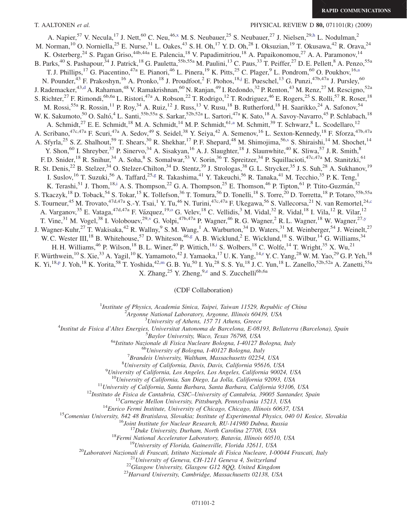T. AALTONEN et al. PHYSICAL REVIEW D 80, 071101(R) (2009)

<span id="page-4-9"></span><span id="page-4-6"></span><span id="page-4-4"></span><span id="page-4-0"></span>A. Napier,<sup>57</sup> V. Necula,<sup>17</sup> J. Nett,<sup>60</sup> C. Neu,<sup>46[,x](#page-5-14)</sup> M. S. Neubauer,<sup>25</sup> S. Neubauer,<sup>27</sup> J. Nielsen,<sup>29,[h](#page-5-15)</sup> L. Nodulman,<sup>2</sup> M. Norman,<sup>10</sup> O. Norniella,<sup>25</sup> E. Nurse,<sup>31</sup> L. Oakes,<sup>43</sup> S. H. Oh,<sup>17</sup> Y. D. Oh,<sup>28</sup> I. Oksuzian,<sup>19</sup> T. Okusawa,<sup>42</sup> R. Orava,<sup>24</sup> K. Osterberg,<sup>24</sup> S. Pagan Griso,<sup>44b,44a</sup> E. Palencia,<sup>18</sup> V. Papadimitriou,<sup>18</sup> A. Papaikonomou,<sup>27</sup> A. A. Paramonov,<sup>14</sup> B. Parks,<sup>40</sup> S. Pashapour,<sup>34</sup> J. Patrick,<sup>18</sup> G. Pauletta,<sup>55b,55a</sup> M. Paulini,<sup>13</sup> C. Paus,<sup>33</sup> T. Peiffer,<sup>27</sup> D. E. Pellett,<sup>8</sup> A. Penzo,<sup>55a</sup> T. J. Phillips,<sup>17</sup> G. Piacentino,<sup>47a</sup> E. Pianori,<sup>46</sup> L. Pinera,<sup>19</sup> K. Pitts,<sup>25</sup> C. Plager,<sup>9</sup> L. Pondrom,<sup>60</sup> O. Poukhov,<sup>16[,a](#page-5-16)</sup> N. Pounder,<sup>43</sup> F. Prakoshyn,<sup>16</sup> A. Pronko,<sup>18</sup> J. Proudfoot,<sup>2</sup> F. Ptohos,<sup>18[,j](#page-5-17)</sup> E. Pueschel,<sup>13</sup> G. Punzi,<sup>47b,47a</sup> J. Pursley,<sup>60</sup> J. Rademacker,<sup>43[,d](#page-5-7)</sup> A. Rahaman,<sup>48</sup> V. Ramakrishnan,<sup>60</sup> N. Ranjan,<sup>49</sup> I. Redondo,<sup>32</sup> P. Renton,<sup>43</sup> M. Renz,<sup>27</sup> M. Rescigno,<sup>52a</sup> S. Richter,<sup>27</sup> F. Rimondi,<sup>6b,6a</sup> L. Ristori,<sup>47a</sup> A. Robson,<sup>22</sup> T. Rodrigo,<sup>12</sup> T. Rodriguez,<sup>46</sup> E. Rogers,<sup>25</sup> S. Rolli,<sup>57</sup> R. Roser,<sup>18</sup> M. Rossi,<sup>55a</sup> R. Rossin,<sup>11</sup> P. Roy,<sup>34</sup> A. Ruiz,<sup>12</sup> J. Russ,<sup>13</sup> V. Rusu,<sup>18</sup> B. Rutherford,<sup>18</sup> H. Saarikko,<sup>24</sup> A. Safonov,<sup>54</sup> W. K. Sakumoto,<sup>50</sup> O. Saltó,<sup>4</sup> L. Santi,<sup>55b,55a</sup> S. Sarkar,<sup>52b,52a</sup> L. Sartori,<sup>47a</sup> K. Sato,<sup>18</sup> A. Savoy-Navarro,<sup>45</sup> P. Schlabach,<sup>18</sup> A. Schmidt,<sup>27</sup> E. E. Schmidt,<sup>18</sup> M. A. Schmidt,<sup>14</sup> M. P. Schmidt,<sup>61,[a](#page-5-16)</sup> M. Schmitt,<sup>39</sup> T. Schwarz,<sup>8</sup> L. Scodellaro,<sup>12</sup> A. Scribano,<sup>47c,47a</sup> F. Scuri,<sup>47a</sup> A. Sedov,<sup>49</sup> S. Seidel,<sup>38</sup> Y. Seiya,<sup>42</sup> A. Semenov,<sup>16</sup> L. Sexton-Kennedy,<sup>18</sup> F. Sforza,<sup>47b,47a</sup> A. Styrla,<[s](#page-5-18)up>25</sup> S. Z. Shalhout,<sup>59</sup> T. Shears,<sup>30</sup> R. Shekhar,<sup>17</sup> P. F. Shepard,<sup>48</sup> M. Shimojima,<sup>56,s</sup> S. Shiraishi,<sup>14</sup> M. Shochet,<sup>14</sup> Y. Shon,<sup>60</sup> I. Shreyber,<sup>37</sup> P. Sinervo,<sup>34</sup> A. Sisakyan,<sup>16</sup> A. J. Slaughter,<sup>18</sup> J. Slaunwhite,<sup>40</sup> K. Sliwa,<sup>57</sup> J. R. Smith,<sup>8</sup> F. D. Snider,<sup>18</sup> R. Snihur,<sup>34</sup> A. Soha, S. Somalwar,<sup>53</sup> V. Sorin,<sup>36</sup> T. Spreitzer,<sup>34</sup> P. Squillacioti,<sup>47c,47a</sup> M. Stanitzki,<sup>61</sup> R. St. Denis,<sup>22</sup> B. Stelzer,<sup>34</sup> O. Stelzer-Chilton,<sup>34</sup> D. Stentz,<sup>39</sup> J. Strologas,<sup>38</sup> G. L. Strycker,<sup>35</sup> J. S. Suh,<sup>28</sup> A. Sukhanov,<sup>19</sup> I. Suslov,<sup>16</sup> T. Suzuki,<sup>56</sup> A. Taffard,<sup>25[,g](#page-5-19)</sup> R. Takashima,<sup>41</sup> Y. Takeuchi,<sup>56</sup> R. Tanaka,<sup>41</sup> M. Tecchio,<sup>35</sup> P. K. Teng,<sup>1</sup> K. Terash[i](#page-5-20),<sup>51</sup> J. Thom,<sup>18,i</sup> A. S. Thompson,<sup>22</sup> G. A. Thompson,<sup>25</sup> E. Thomson,<sup>46</sup> P. Tipton,<sup>61</sup> P. Ttito-Guzmán,<sup>32</sup> S. Tkaczyk,<sup>18</sup> D. Toback,<sup>54</sup> S. Tokar,<sup>15</sup> K. Tollefson,<sup>36</sup> T. Tomura,<sup>56</sup> D. Tonelli,<sup>18</sup> S. Torre,<sup>20</sup> D. Torretta,<sup>18</sup> P. Totaro,<sup>55b,55a</sup> S. Tourneur,<sup>45</sup> M. Trovato,<sup>47d,47a</sup> S.-Y. Tsai,<sup>1</sup> Y. Tu,<sup>46</sup> N. Turini,<sup>47[c](#page-5-21),47a</sup> F. Ukegawa,<sup>56</sup> S. Vallecorsa,<sup>21</sup> N. van Remortel,<sup>24,c</sup> A. Vargan[o](#page-5-4)v,<sup>35</sup> E. Vataga,<sup>47d,47a</sup> F. Vázquez,<sup>19,0</sup> G. Velev,<sup>18</sup> C. Vellidis,<sup>3</sup> M. Vidal,<sup>32</sup> R. Vidal,<sup>18</sup> I. Vila,<sup>12</sup> R. Vilar,<sup>12</sup> T. Vine,<sup>31</sup> M. Vogel,<sup>38</sup> I. Voloboue[v](#page-5-10),<sup>29,v</sup> G. Volpi,<sup>47b,47a</sup> P. Wagner,<sup>46</sup> R. G. Wagner,<sup>2</sup> R. L. Wagner,<sup>18</sup> W. Wagner,<sup>27[,y](#page-5-22)</sup> J. Wagner-Kuhr,<sup>27</sup> T. Wakisaka,<sup>42</sup> R. Wallny,<sup>9</sup> S. M. Wang,<sup>1</sup> A. Warburton,<sup>34</sup> D. Waters,<sup>31</sup> M. Weinberger,<sup>54</sup> J. Weinelt,<sup>27</sup> W. C. Wester III,<sup>18</sup> B. Whitehouse,<sup>57</sup> D. Whiteson,<sup>46,[g](#page-5-19)</sup> A. B. Wicklund,<sup>2</sup> E. Wicklund,<sup>18</sup> S. Wilbur,<sup>14</sup> G. Williams,<sup>34</sup> H. H. W[i](#page-5-20)lliams, <sup>46</sup> P. Wilson, <sup>18</sup> B. L. Winer, <sup>40</sup> P. Wittich, <sup>18,i</sup> S. Wolbers, <sup>18</sup> C. Wolfe, <sup>14</sup> T. Wright, <sup>35</sup> X. Wu, <sup>21</sup> F. Wü[r](#page-5-23)thwein,  $^{10}$  S. Xie,  $^{33}$  A. Yagil,  $^{10}$  K. Yamamoto,  $^{42}$  J. Yamaoka,  $^{17}$  U. K. Yang,  $^{14,r}$  Y. C. Yang,  $^{28}$  W. M. Yao,  $^{29}$  G. P. Yeh,  $^{18}$ K. Yi,<sup>18[,p](#page-5-6)</sup> J. Yoh,<sup>18</sup> K. Yorita,<sup>58</sup> T. Yoshida,<sup>42,[m](#page-5-24)</sup> G. B. Yu,<sup>50</sup> I. Yu,<sup>28</sup> S. S. Yu,<sup>18</sup> J. C. Yun,<sup>18</sup> L. Zanello,<sup>52b,52a</sup> A. Zanetti,<sup>55a</sup> X. Zhang,  $^{25}$  Y. Zh[e](#page-5-25)ng,  $^{9,e}$  and S. Zucchelli<sup>6b,6a</sup>

### (CDF Collaboration)

<sup>1</sup>Institute of Physics, Academia Sinica, Taipei, Taiwan 11529, Republic of China<br><sup>2</sup>Argonna National Laboratory, Argonna Illinois 60430, USA

 $A$ rgonne National Laboratory, Argonne, Illinois 60439, USA<br> $3$ University of Athens, 157 71 Athens, Greece

<span id="page-4-10"></span><span id="page-4-8"></span><span id="page-4-7"></span><span id="page-4-5"></span><span id="page-4-3"></span><span id="page-4-2"></span><span id="page-4-1"></span><sup>3</sup>University of Athens, 157 71 Athens, Greece  $\frac{4}{3}$  University of Athens, 157 71 Athens, Greece

Institut de Fisica d'Altes Energies, Universitat Autonoma de Barcelona, E-08193, Bellaterra (Barcelona), Spain <sup>5</sup>

 $^{5}$ Baylor University, Waco, Texas 76798, USA<br><sup>6a</sup>Istituto Nazionale di Fisica Nucleare Bologna, I-40127 Bologna, Italy <sup>6b</sup>University of Bologna, I-40127 Bologna, Italy

 ${}^{7}$ Brandeis University, Waltham, Massachusetts 02254, USA

<sup>8</sup>University of California, Davis, Davis, California 95616, USA

<sup>9</sup>University of California, Los Angeles, Los Angeles, California 90024, USA<br><sup>10</sup>University of California, San Diego, La Jolla, California 92093, USA

<sup>10</sup>University of California, San Diego, La Jolla, California 92093, USA<br>
<sup>11</sup>University of California, Santa Barbara, Santa Barbara, California 93106, USA<br>
<sup>12</sup>Instituto de Fisica de Cantabrai, CSIC-University of Califor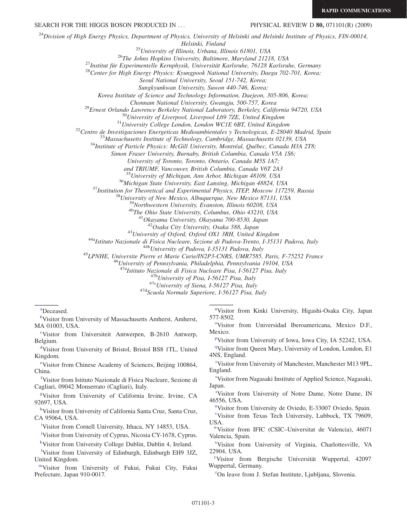SEARCH FOR THE HIGGS BOSON PRODUCED IN ... PHYSICAL REVIEW D 80, 071101(R) (2009)

 $^{24}$ Division of High Energy Physics, Department of Physics, University of Helsinki and Helsinki Institute of Physics, FIN-00014,

Helsinki, Finland<br><sup>25</sup> University of Illinois, Urbana, Illinois 61801, USA<br><sup>26</sup> The Johns Hopkins University, Baltimore, Maryland 21218, USA<br><sup>27</sup> Institut für Experimentelle Kernphysik, Universität Karlsruhe, 76128 Karlsru

Seoul National University, Seoul 151-742, Korea;

Sungkyunkwan University, Suwon 440-746, Korea;

Korea Institute of Science and Technology Information, Daejeon, 305-806, Korea;

Chonnam National University, Gwangju, 500-757, Korea<br><sup>29</sup>Ernest Orlando Lawrence Berkeley National Laboratory, Berkeley, California 94720, USA<br><sup>30</sup>University of Liverpool, Liverpool L69 7ZE, United Kingdom<br><sup>31</sup>University C

Simon Fraser University, Burnaby, British Columbia, Canada V5A 1S6;

University of Toronto, Toronto, Ontario, Canada M5S 1A7;

and TRIUMF, Vancouver, British Columbia, Canada V6T 2A3<br><sup>35</sup>University of Michigan, Ann Arbor, Michigan 48109, USA

<sup>36</sup>Michigan State University, East Lansing, Michigan 48824, USA<br><sup>37</sup>Institution for Theoretical and Experimental Physics, ITEP, Moscow 117259, Russia<br><sup>38</sup>University of New Mexico, Albuquerque, New Mexico 87131, USA<br><sup>39</sup>N

<sup>43</sup>University of Oxford, Oxford OX1 3RH, United Kingdom<br><sup>44a</sup>Istituto Nazionale di Fisica Nucleare, Sezione di Padova-Trento, I-35131 Padova, Italy<br><sup>44b</sup>University of Padova, I-35131 Padova, Italy<br><sup>45</sup>LPNHE, Universite P

<sup>47a</sup>Istituto Nazionale di Fisica Nucleare Pisa, I-56127 Pisa, Italy  $^{476}$ University of Pisa, I-56127 Pisa, Italy  $^{47c}$ Scuola Normale Superiore, I-56127 Pisa, Italy  $^{47d}$ Scuola Normale Superiore, I-56127 Pisa, Italy

<span id="page-5-16"></span>[a](#page-4-0) Deceased.

<span id="page-5-2"></span><sup>[b](#page-3-0)</sup>Visitor from University of Massachusetts Amherst, Amherst, MA 01003, USA.

<span id="page-5-21"></span><sup>[c](#page-4-1)</sup>Visitor from Universiteit Antwerpen, B-2610 Antwerp, Belgium.

<span id="page-5-7"></span>[d](#page-3-1) Visitor from University of Bristol, Bristol BS8 1TL, United Kingdom.

<span id="page-5-25"></span>[e](#page-4-2)Visitor from Chinese Academy of Sciences, Beijing 100864, China.

<span id="page-5-11"></span>[f](#page-3-2) Visitor from Istituto Nazionale di Fisica Nucleare, Sezione di Cagliari, 09042 Monserrato (Cagliari), Italy.

<span id="page-5-19"></span>[g](#page-4-3) Visitor from University of California Irvine, Irvine, CA 92697, USA.

<span id="page-5-15"></span><sup>[h](#page-4-4)</sup>Visitor from University of California Santa Cruz, Santa Cruz, CA 95064, USA.

<span id="page-5-20"></span>[i](#page-4-5) Visitor from Cornell University, Ithaca, NY 14853, USA.

<span id="page-5-17"></span><sup>[j](#page-4-6)</sup>Visitor from University of Cyprus, Nicosia CY-1678, Cyprus.

<span id="page-5-13"></span>[k](#page-3-3) Visitor from University College Dublin, Dublin 4, Ireland.

<span id="page-5-12"></span><sup>1</sup>Visitor from University of Edinburgh, Edinburgh EH9 3JZ, United Kingdom.

<span id="page-5-24"></span>[mV](#page-4-7)isitor from University of Fukui, Fukui City, Fukui Prefecture, Japan 910-0017.

<span id="page-5-8"></span>[n](#page-3-12) Visitor from Kinki University, Higashi-Osaka City, Japan 577-8502.

<span id="page-5-4"></span><sup>[o](#page-3-11)</sup>Visitor from Universidad Iberoamericana, Mexico D.F., Mexico.

<span id="page-5-6"></span><su[p](#page-3-10)>p</sup>Visitor from University of Iowa, Iowa City, IA 52242, USA.

<span id="page-5-5"></span><sup>[q](#page-3-9)</sup>Visitor from Queen Mary, University of London, London, E1 4NS, England.

<span id="page-5-23"></span>[r](#page-4-10) Visitor from University of Manchester, Manchester M13 9PL, England.

<span id="page-5-18"></span>[s](#page-4-9) Visitor from Nagasaki Institute of Applied Science, Nagasaki, Japan.

<span id="page-5-9"></span><sup>[t](#page-3-8)</sup>Visitor from University of Notre Dame, Notre Dame, IN 46556, USA.

<span id="page-5-0"></span><s[u](#page-3-6)p>u</sup>Visitor from University de Oviedo, E-33007 Oviedo, Spain.

<span id="page-5-10"></span>[v](#page-3-7) Visitor from Texas Tech University, Lubbock, TX 79609, USA.

<span id="page-5-3"></span>Visitor from IFIC (CSIC–Universitat de Valencia), 46071 Valencia, Spain.

<span id="page-5-14"></span>[x](#page-4-4) Visitor from University of Virginia, Charlottesville, VA 22904, USA.

<span id="page-5-22"></span>Visitor from Bergische Universität Wuppertal, 42097 Wuppertal, Germany.

<span id="page-5-1"></span> ${}^{z}$ On leave from J. Stefan Institute, Ljubljana, Slovenia.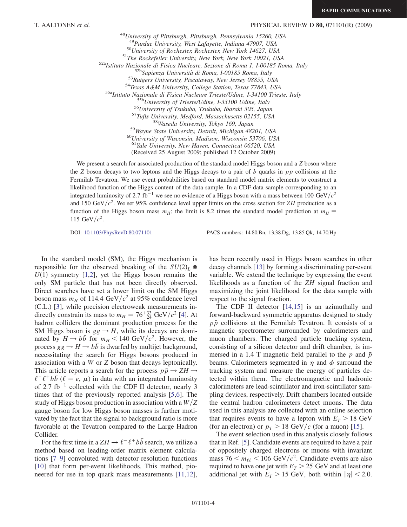### T. AALTONEN et al. PHYSICAL REVIEW D 80, 071101(R) (2009)

<sup>48</sup>University of Pittsburgh, Pittsburgh, Pennsylvania 15260, USA <sup>49</sup>Purdue University, West Lafayette, Indiana 47907, USA<br><sup>50</sup>University of Rochester, Rochester, New York 14627, USA<br><sup>51</sup>The Rockefeller University, New York, New York 10021, USA<br><sup>51</sup>The Rockefeller University, New York,  $^{60}$ University of Wisconsin, Madison, Wisconsin 53706, USA<br> $^{61}$ Yale University, New Haven, Connecticut 06520, USA

(Received 25 August 2009; published 12 October 2009)

We present a search for associated production of the standard model Higgs boson and a Z boson where the Z boson decays to two leptons and the Higgs decays to a pair of b quarks in  $p\bar{p}$  collisions at the Fermilab Tevatron. We use event probabilities based on standard model matrix elements to construct a likelihood function of the Higgs content of the data sample. In a CDF data sample corresponding to an integrated luminosity of 2.7 fb<sup>-1</sup> we see no evidence of a Higgs boson with a mass between 100 GeV/ $c^2$ and 150 GeV/ $c^2$ . We set 95% confidence level upper limits on the cross section for ZH production as a function of the Higgs boson mass  $m_H$ ; the limit is 8.2 times the standard model prediction at  $m_H$  = 115 GeV/ $c^2$ .

DOI: [10.1103/PhysRevD.80.071101](http://dx.doi.org/10.1103/PhysRevD.80.071101) PACS numbers: 14.80.Bn, 13.38.Dg, 13.85.Qk, 14.70.Hp

In the standard model (SM), the Higgs mechanism is responsible for the observed breaking of the  $SU(2)_L$  $U(1)$  symmetry [\[1](#page-9-0)[,2](#page-9-1)], yet the Higgs boson remains the only SM particle that has not been directly observed. Direct searches have set a lower limit on the SM Higgs boson mass  $m_H$  of 114.4 GeV/ $c^2$  at 95% confidence level (C.L.) [\[3\]](#page-9-2), while precision electroweak measurements indirectly constrain its mass to  $m_H = 76^{+33}_{-24}$  GeV/ $c^2$  [[4\]](#page-9-3). At hadron colliders the dominant production process for the SM Higgs boson is  $gg \to H$ , while its decays are dominated by  $H \rightarrow b\bar{b}$  for  $m_H < 140 \text{ GeV}/c^2$ . However, the process  $gg \to H \to b\bar{b}$  is dwarfed by multijet background, necessitating the search for Higgs bosons produced in association with a W or Z boson that decays leptonically. This article reports a search for the process  $p\bar{p} \rightarrow ZH \rightarrow$  $\ell^- \ell^+ b \bar{b}$  ( $\ell = e, \mu$ ) in data with an integrated luminosity of 2.7 fb<sup>-1</sup> collected with the CDF II detector, nearly 3 times that of the previously reported analysis [\[5,](#page-9-4)[6](#page-9-5)]. The study of Higgs boson production in association with a  $W/Z$ gauge boson for low Higgs boson masses is further motivated by the fact that the signal to background ratio is more favorable at the Tevatron compared to the Large Hadron Collider.

For the first time in a  $ZH \rightarrow \ell^- \ell^+ b\bar{b}$  search, we utilize a method based on leading-order matrix element calculations [[7–](#page-9-6)[9](#page-10-0)] convoluted with detector resolution functions [\[10\]](#page-10-1) that form per-event likelihoods. This method, pioneered for use in top quark mass measurements [\[11](#page-10-2)[,12\]](#page-10-3), has been recently used in Higgs boson searches in other decay channels [[13](#page-10-4)] by forming a discriminating per-event variable. We extend the technique by expressing the event likelihoods as a function of the ZH signal fraction and maximizing the joint likelihood for the data sample with respect to the signal fraction.

The CDF II detector [[14](#page-10-5),[15](#page-10-6)] is an azimuthally and forward-backward symmetric apparatus designed to study  $p\bar{p}$  collisions at the Fermilab Tevatron. It consists of a magnetic spectrometer surrounded by calorimeters and muon chambers. The charged particle tracking system, consisting of a silicon detector and drift chamber, is immersed in a 1.4 T magnetic field parallel to the  $p$  and  $\bar{p}$ beams. Calorimeters segmented in  $\eta$  and  $\phi$  surround the tracking system and measure the energy of particles detected within them. The electromagnetic and hadronic calorimeters are lead-scintillator and iron-scintillator sampling devices, respectively. Drift chambers located outside the central hadron calorimeters detect muons. The data used in this analysis are collected with an online selection that requires events to have a lepton with  $E_T > 18$  GeV (for an electron) or  $p<sub>T</sub> > 18$  GeV/c (for a muon) [\[15\]](#page-10-6).

The event selection used in this analysis closely follows that in Ref. [\[5\]](#page-9-4). Candidate events are required to have a pair of oppositely charged electrons or muons with invariant mass  $76 \le m_{\ell\ell} \le 106$  GeV/ $c^2$ . Candidate events are also required to have one jet with  $E_T > 25$  GeV and at least one additional jet with  $E_T > 15$  GeV, both within  $|\eta| < 2.0$ .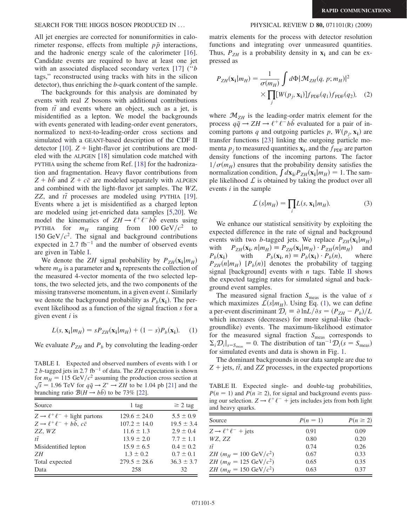### SEARCH FOR THE HIGGS BOSON PRODUCED IN ... PHYSICAL REVIEW D 80, 071101(R) (2009)

All jet energies are corrected for nonuniformities in calorimeter response, effects from multiple  $p\bar{p}$  interactions, and the hadronic energy scale of the calorimeter [\[16\]](#page-10-7). Candidate events are required to have at least one jet with an associated displaced secondary vertex [\[17](#page-10-8)] ("b tags,'' reconstructed using tracks with hits in the silicon detector), thus enriching the b-quark content of the sample.

The backgrounds for this analysis are dominated by events with real Z bosons with additional contributions from  $t\bar{t}$  and events where an object, such as a jet, is misidentified as a lepton. We model the backgrounds with events generated with leading-order event generators, normalized to next-to-leading-order cross sections and simulated with a GEANT-based description of the CDF II detector [\[10\]](#page-10-1).  $Z +$  light-flavor jet contributions are modeled with the ALPGEN [\[18\]](#page-10-9) simulation code matched with PYTHIA using the scheme from Ref. [[18](#page-10-9)] for the hadronization and fragmentation. Heavy flavor contributions from  $Z + bb$  and  $Z + c\bar{c}$  are modeled separately with ALPGEN and combined with the light-flavor jet samples. The WZ, ZZ, and  $t\bar{t}$  processes are modeled using PYTHIA [\[19\]](#page-10-10). Events where a jet is misidentified as a charged lepton are modeled using jet-enriched data samples [\[5](#page-9-4)[,20\]](#page-10-11). We model the kinematics of  $ZH \rightarrow \ell^+\ell^- b\bar{b}$  events using PYTHIA for  $m_H$  ranging from 100 GeV/ $c^2$  to 150 GeV/ $c^2$ . The signal and background contributions expected in  $2.7$  fb<sup>-1</sup> and the number of observed events are given in Table [I.](#page-7-0)

We denote the ZH signal probability by  $P_{ZH}(\mathbf{x_i}|m_H)$ where  $m_H$  is a parameter and  $\mathbf{x}_i$  represents the collection of the measured 4-vector momenta of the two selected leptons, the two selected jets, and the two components of the missing transverse momentum, in a given event i. Similarly we denote the background probability as  $P_b(\mathbf{x_i})$ . The perevent likelihood as a function of the signal fraction s for a given event  $i$  is

<span id="page-7-2"></span>
$$
L(s, \mathbf{x_i}|m_H) = sP_{ZH}(\mathbf{x_i}|m_H) + (1 - s)P_b(\mathbf{x_i}).
$$
 (1)

We evaluate  $P_{ZH}$  and  $P_b$  by convoluting the leading-order

<span id="page-7-0"></span>TABLE I. Expected and observed numbers of events with 1 or  $Z + \text{jets}, t\bar{t}$ , and ZZ processes, in the expected proportions  $Z + \text{jets}, t\bar{t}$ , and ZZ processes, in the expected proportions 2 b-tagged jets in 2.7 fb<sup>-1</sup> of data. The ZH expectation is shown for  $m_H = 115 \text{ GeV}/c^2$  assuming the production cross section at  $\sqrt{s}$  = 1.96 TeV for  $q\bar{q} \rightarrow Z^* \rightarrow ZH$  to be 1.04 pb [[21](#page-10-13)] and the branching ratio  $\mathcal{B}(H \to b\bar{b})$  to be 73% [[22](#page-10-14)].

| Source                                             | 1 tag            | $\geq$ 2 tag   |
|----------------------------------------------------|------------------|----------------|
| $Z \rightarrow \ell^+ \ell^-$ + light partons      | $129.6 \pm 24.0$ | $5.5 \pm 0.9$  |
| $Z \rightarrow \ell^+ \ell^- + b\bar{b}, c\bar{c}$ | $107.2 \pm 14.0$ | $19.5 \pm 3.4$ |
| ZZ, WZ                                             | $11.6 \pm 1.3$   | $2.9 \pm 0.4$  |
| $t\bar{t}$                                         | $13.9 \pm 2.0$   | $7.7 \pm 1.1$  |
| Misidentified lepton                               | $15.9 \pm 6.5$   | $0.4 \pm 0.2$  |
| ΖH                                                 | $1.3 \pm 0.2$    | $0.7 \pm 0.1$  |
| Total expected                                     | $279.5 \pm 28.6$ | $36.3 \pm 3.7$ |
| Data                                               | 258              | 32             |

matrix elements for the process with detector resolution functions and integrating over unmeasured quantities. Thus,  $P_{ZH}$  is a probability density in  $x_i$  and can be expressed as

$$
P_{ZH}(\mathbf{x_i}|m_H) = \frac{1}{\sigma(m_H)} \int d\Phi |\mathcal{M}_{ZH}(q, p; m_H)|^2
$$
  
 
$$
\times \prod_j [W(p_j, \mathbf{x_i})] f_{PDF}(q_1) f_{PDF}(q_2), \quad (2)
$$

where  $\mathcal{M}_{ZH}$  is the leading-order matrix element for the process  $q\bar{q} \rightarrow ZH \rightarrow \ell^+ \ell^- b\bar{b}$  evaluated for a pair of incoming partons q and outgoing particles p,  $W(p_i, x_i)$  are transfer functions [[23](#page-10-12)] linking the outgoing particle momenta  $p_i$  to measured quantities  $\mathbf{x_i}$ , and the  $f_{\text{PDF}}$  are parton density functions of the incoming partons. The factor  $1/\sigma(m_H)$  ensures that the probability density satisfies the normalization condition,  $\int d\mathbf{x}_{ii} P_{ZH}(\mathbf{x_i}|m_H) = 1$ . The sample likelihood  $\mathcal L$  is obtained by taking the product over all events  $i$  in the sample

$$
\mathcal{L}\left(s|m_{H}\right) = \prod_{i} L(s, \mathbf{x}_{i}|m_{H}).\tag{3}
$$

<span id="page-7-3"></span>We enhance our statistical sensitivity by exploiting the expected difference in the rate of signal and background events with two *b*-tagged jets. We replace  $P_{ZH}(\mathbf{x_i}|m_H)$ <br>with  $P_{ZH}(\mathbf{x_i}, n|m_H) \equiv P_{ZH}(\mathbf{x_i}|m_H) \cdot P_{ZH}(n|m_H)$  and with  $P_{ZH}(\mathbf{x_i}, n|m_H) \equiv P_{ZH}(\mathbf{x_i}|m_H) \cdot P_{ZH}(n|m_H)$  and  $P_b(\mathbf{x_i})$  with  $P_b(\mathbf{x_i}, n) \equiv P_b(\mathbf{x_i}) \cdot P_b(n)$ , where  $P_b(\mathbf{x_i}, n) \equiv P_b(\mathbf{x_i}) \cdot P_b(n),$  $P_{ZH}(n|m_H)$  [ $P_b(n)$ ] denotes the probability of tagging signal [background] events with *n* tags. Table [II](#page-7-1) shows the expected tagging rates for simulated signal and background event samples.

The measured signal fraction  $S_{\text{meas}}$  is the value of s which maximizes  $\mathcal{L}(s|m_H)$ . Using Eq. [\(1](#page-7-2)), we can define a per-event discriminant  $\mathcal{D}_i \equiv \partial \ln L/\partial s = (P_{ZH} - P_b)/L$ which increases (decreases) for more signal-like (backgroundlike) events. The maximum-likelihood estimator for the measured signal fraction  $S_{\text{meas}}$  corresponds to  $\sum_{i} \mathcal{D}_{i}|_{s=S_{\text{meas}}} = 0$ . The distribution of tan<sup>-1</sup> $\mathcal{D}_{i}(s = S_{\text{meas}})$ for simulated events and data is shown in Fig. [1](#page-8-0).

The dominant backgrounds in our data sample are due to

<span id="page-7-1"></span>TABLE II. Expected single- and double-tag probabilities,  $P(n = 1)$  and  $P(n \ge 2)$ , for signal and background events passing our selection.  $Z \rightarrow \ell^+ \ell^-$  + jets includes jets from both light and heavy quarks.

| Source                                    | $P(n = 1)$ | $P(n \geq 2)$ |
|-------------------------------------------|------------|---------------|
| $Z \rightarrow \ell^+ \ell^-$ + jets      | 0.91       | 0.09          |
| WZ, ZZ                                    | 0.80       | 0.20          |
| $t\bar{t}$                                | 0.74       | 0.26          |
| <i>ZH</i> ( $m_H = 100 \text{ GeV}/c^2$ ) | 0.67       | 0.33          |
| <i>ZH</i> ( $m_H = 125 \text{ GeV}/c^2$ ) | 0.65       | 0.35          |
| <i>ZH</i> ( $m_H = 150 \text{ GeV}/c^2$ ) | 0.63       | 0.37          |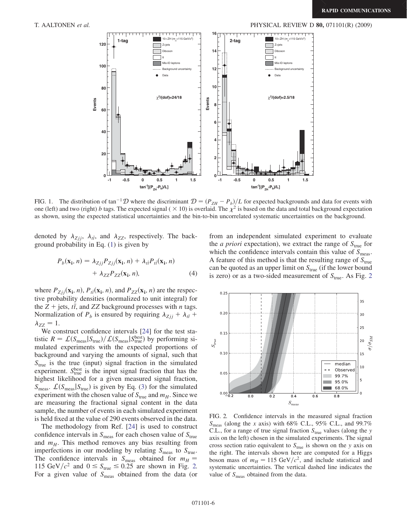<span id="page-8-0"></span>

FIG. 1. The distribution of tan<sup>-1</sup>D where the discriminant  $\mathcal{D} = (P_{ZH} - P_b)/L$  for expected backgrounds and data for events with one (left) and two (right) b tags. The expected signal ( $\times$  10) is overlaid. The  $\chi^2$  is based on the data and total background expectation as shown, using the expected statistical uncertainties and the bin-to-bin uncorrelated systematic uncertainties on the background.

denoted by  $\lambda_{Zjj}$ ,  $\lambda_{t\bar{t}}$ , and  $\lambda_{ZZ}$ , respectively. The background probability in Eq. ([1\)](#page-7-2) is given by

$$
P_b(\mathbf{x_i}, n) = \lambda_{Zjj} P_{Zjj}(\mathbf{x_i}, n) + \lambda_{t\bar{t}} P_{t\bar{t}}(\mathbf{x_i}, n)
$$

$$
+ \lambda_{ZZ} P_{ZZ}(\mathbf{x_i}, n), \qquad (4)
$$

where  $P_{Zjj}(\mathbf{x_i}, n)$ ,  $P_{t\bar{t}}(\mathbf{x_i}, n)$ , and  $P_{ZZ}(\mathbf{x_i}, n)$  are the respective probability densities (normalized to unit integral) for the  $Z + \text{jets}, t\bar{t}$ , and ZZ background processes with *n* tags. Normalization of  $P_b$  is ensured by requiring  $\lambda_{Zjj} + \lambda_{t\bar{t}} + \lambda_{\bar{t}}$  $\lambda_{ZZ} = 1.$ 

We construct confidence intervals [[24](#page-10-15)] for the test statistic  $R = \mathcal{L}(S_{\text{meas}}|S_{\text{true}})/\mathcal{L}(S_{\text{meas}}|S_{\text{true}}^{\text{best}})$  by performing simulated experiments with the expected proportions of background and varying the amounts of signal, such that  $S<sub>true</sub>$  is the true (input) signal fraction in the simulated experiment.  $S_{true}^{best}$  is the input signal fraction that has the highest likelihood for a given measured signal fraction,  $S_{\text{meas}}$ .  $\mathcal{L}(S_{\text{meas}}|S_{\text{true}})$  is given by Eq. [\(3](#page-7-3)) for the simulated experiment with the chosen value of  $S_{true}$  and  $m_H$ . Since we are measuring the fractional signal content in the data sample, the number of events in each simulated experiment is held fixed at the value of 290 events observed in the data.

The methodology from Ref. [\[24](#page-10-15)] is used to construct confidence intervals in  $S_{\text{meas}}$  for each chosen value of  $S_{\text{true}}$ and  $m_H$ . This method removes any bias resulting from imperfections in our modeling by relating  $S_{\text{meas}}$  to  $S_{\text{true}}$ . The confidence intervals in  $S_{\text{meas}}$  obtained for  $m_H =$ 115 GeV/ $c^2$  and  $0 \leq S_{\text{true}} \leq 0.25$  are shown in Fig. [2.](#page-8-1) For a given value of  $S_{\text{meas}}$  obtained from the data (or from an independent simulated experiment to evaluate the *a priori* expectation), we extract the range of  $S_{true}$  for which the confidence intervals contain this value of  $S_{\text{meas}}$ . A feature of this method is that the resulting range of  $S_{true}$ can be quoted as an upper limit on  $S_{true}$  (if the lower bound is zero) or as a two-sided measurement of  $S_{true}$ . As Fig. [2](#page-8-1)

<span id="page-8-1"></span>

FIG. 2. Confidence intervals in the measured signal fraction  $S<sub>meas</sub>$  (along the x axis) with 68% C.L., 95% C.L., and 99.7% C.L., for a range of true signal fraction  $S_{true}$  values (along the y axis on the left) chosen in the simulated experiments. The signal cross section ratio equivalent to  $S<sub>true</sub>$  is shown on the y axis on the right. The intervals shown here are computed for a Higgs boson mass of  $m_H = 115 \text{ GeV}/c^2$ , and include statistical and systematic uncertainties. The vertical dashed line indicates the value of  $S_{\text{meas}}$  obtained from the data.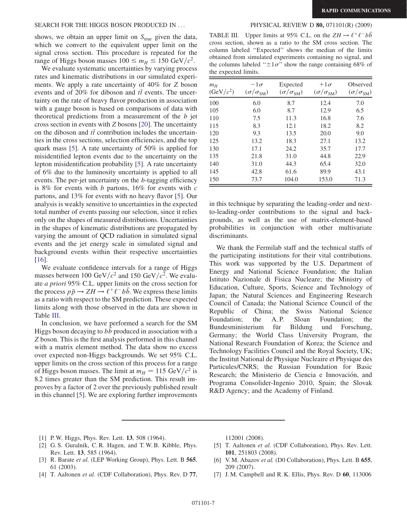### SEARCH FOR THE HIGGS BOSON PRODUCED IN ... PHYSICAL REVIEW D 80, 071101(R) (2009)

shows, we obtain an upper limit on  $S_{true}$  given the data, which we convert to the equivalent upper limit on the signal cross section. This procedure is repeated for the range of Higgs boson masses  $100 \le m_H \le 150 \text{ GeV}/c^2$ .

We evaluate systematic uncertainties by varying process rates and kinematic distributions in our simulated experiments. We apply a rate uncertainty of 40% for Z boson events and of 20% for diboson and  $t\bar{t}$  events. The uncertainty on the rate of heavy flavor production in association with a gauge boson is based on comparisons of data with theoretical predictions from a measurement of the  $b$  jet cross section in events with Z bosons [\[20\]](#page-10-11). The uncertainty on the diboson and  $t\bar{t}$  contribution includes the uncertainties in the cross sections, selection efficiencies, and the top quark mass [[5\]](#page-9-4). A rate uncertainty of 50% is applied for misidentified lepton events due to the uncertainty on the lepton misidentification probability [[5\]](#page-9-4). A rate uncertainty of 6% due to the luminosity uncertainty is applied to all events. The per-jet uncertainty on the b-tagging efficiency is 8% for events with  $b$  partons, 16% for events with  $c$ partons, and 13% for events with no heavy flavor [[5\]](#page-9-4). Our analysis is weakly sensitive to uncertainties in the expected total number of events passing our selection, since it relies only on the shapes of measured distributions. Uncertainties in the shapes of kinematic distributions are propagated by varying the amount of QCD radiation in simulated signal events and the jet energy scale in simulated signal and background events within their respective uncertainties [\[16\]](#page-10-7).

We evaluate confidence intervals for a range of Higgs masses between 100 GeV/ $c^2$  and 150 GeV/ $c^2$ . We evaluate a priori 95% C.L. upper limits on the cross section for the process  $p\bar{p} \rightarrow ZH \rightarrow \ell^+ \ell^- b\bar{b}$ . We express these limits as a ratio with respect to the SM prediction. These expected limits along with those observed in the data are shown in Table [III.](#page-9-7)

In conclusion, we have performed a search for the SM Higgs boson decaying to bb produced in association with a Z boson. This is the first analysis performed in this channel with a matrix element method. The data show no excess over expected non-Higgs backgrounds. We set 95% C.L. upper limits on the cross section of this process for a range of Higgs boson masses. The limit at  $m_H = 115 \text{ GeV}/c^2$  is 8.2 times greater than the SM prediction. This result improves by a factor of 2 over the previously published result in this channel [[5\]](#page-9-4). We are exploring further improvements

<span id="page-9-7"></span>TABLE III. Upper limits at 95% C.L. on the  $ZH \rightarrow \ell^+ \ell^- b\bar{b}$ cross section, shown as a ratio to the SM cross section. The column labeled ''Expected'' shows the median of the limits obtained from simulated experiments containing no signal, and the columns labeled " $\pm 1\sigma$ " show the range containing 68% of the expected limits.

| $m_H$<br>$(GeV/c^2)$ | $-1\sigma$<br>$(\sigma/\sigma_{\rm SM})$ | Expected<br>$(\sigma/\sigma_{\rm SM})$ | $+1\sigma$<br>$(\sigma/\sigma_{\rm SM})$ | Observed<br>$(\sigma/\sigma_{\rm SM})$ |
|----------------------|------------------------------------------|----------------------------------------|------------------------------------------|----------------------------------------|
| 100                  | 6.0                                      | 8.7                                    | 12.4                                     | 7.0                                    |
| 105                  | 6.0                                      | 8.7                                    | 12.9                                     | 6.5                                    |
| 110                  | 7.5                                      | 11.3                                   | 16.8                                     | 7.6                                    |
| 115                  | 8.3                                      | 12.1                                   | 18.2                                     | 8.2                                    |
| 120                  | 9.3                                      | 13.5                                   | 20.0                                     | 9.0                                    |
| 125                  | 13.2                                     | 18.3                                   | 27.1                                     | 13.2                                   |
| 130                  | 17.1                                     | 24.2                                   | 35.7                                     | 17.7                                   |
| 135                  | 21.8                                     | 31.0                                   | 44.8                                     | 22.9                                   |
| 140                  | 31.0                                     | 44.3                                   | 65.4                                     | 32.0                                   |
| 145                  | 42.8                                     | 61.6                                   | 89.9                                     | 43.1                                   |
| 150                  | 73.7                                     | 104.0                                  | 153.0                                    | 71.3                                   |

in this technique by separating the leading-order and nextto-leading-order contributions to the signal and backgrounds, as well as the use of matrix-element-based probabilities in conjunction with other multivariate discriminants.

We thank the Fermilab staff and the technical staffs of the participating institutions for their vital contributions. This work was supported by the U.S. Department of Energy and National Science Foundation; the Italian Istituto Nazionale di Fisica Nucleare; the Ministry of Education, Culture, Sports, Science and Technology of Japan; the Natural Sciences and Engineering Research Council of Canada; the National Science Council of the Republic of China; the Swiss National Science Foundation; the A.P. Sloan Foundation; the Bundesministerium für Bildung und Forschung, Germany; the World Class University Program, the National Research Foundation of Korea; the Science and Technology Facilities Council and the Royal Society, UK; the Institut National de Physique Nucleaire et Physique des Particules/CNRS; the Russian Foundation for Basic Research; the Ministerio de Ciencia e Innovación, and Programa Consolider-Ingenio 2010, Spain; the Slovak R&D Agency; and the Academy of Finland.

- <span id="page-9-0"></span>[1] P. W. Higgs, Phys. Rev. Lett. **13**, 508 (1964).
- <span id="page-9-1"></span>[2] G. S. Guralnik, C. R. Hagen, and T. W. B. Kibble, Phys. Rev. Lett. 13, 585 (1964).
- <span id="page-9-2"></span>[3] R. Barate et al. (LEP Working Group), Phys. Lett. B 565, 61 (2003).
- <span id="page-9-3"></span>[4] T. Aaltonen et al. (CDF Collaboration), Phys. Rev. D 77,

112001 (2008).

- <span id="page-9-4"></span>[5] T. Aaltonen et al. (CDF Collaboration), Phys. Rev. Lett. 101, 251803 (2008).
- <span id="page-9-5"></span>[6] V. M. Abazov et al. (D0 Collaboration), Phys. Lett. B 655, 209 (2007).
- <span id="page-9-6"></span>[7] J. M. Campbell and R. K. Ellis, Phys. Rev. D 60, 113006